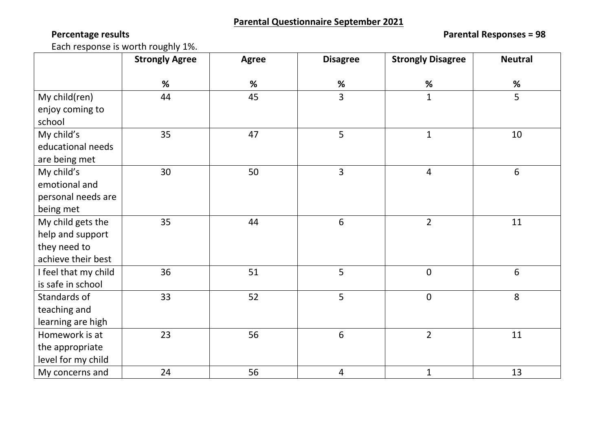**Percentage results Parental Responses = 98**

Each response is worth roughly 1%.

|                      | <b>Strongly Agree</b> | <b>Agree</b> | <b>Disagree</b> | <b>Strongly Disagree</b> | <b>Neutral</b> |
|----------------------|-----------------------|--------------|-----------------|--------------------------|----------------|
|                      | $\%$                  | %            | %               | %                        | $\%$           |
| My child(ren)        | 44                    | 45           | 3               | $\mathbf{1}$             | 5              |
| enjoy coming to      |                       |              |                 |                          |                |
| school               |                       |              |                 |                          |                |
| My child's           | 35                    | 47           | 5               | $\mathbf{1}$             | 10             |
| educational needs    |                       |              |                 |                          |                |
| are being met        |                       |              |                 |                          |                |
| My child's           | 30                    | 50           | $\overline{3}$  | $\overline{4}$           | $6\,$          |
| emotional and        |                       |              |                 |                          |                |
| personal needs are   |                       |              |                 |                          |                |
| being met            |                       |              |                 |                          |                |
| My child gets the    | 35                    | 44           | 6               | $\overline{2}$           | 11             |
| help and support     |                       |              |                 |                          |                |
| they need to         |                       |              |                 |                          |                |
| achieve their best   |                       |              |                 |                          |                |
| I feel that my child | 36                    | 51           | 5               | $\mathbf 0$              | $6\,$          |
| is safe in school    |                       |              |                 |                          |                |
| Standards of         | 33                    | 52           | 5               | $\pmb{0}$                | 8              |
| teaching and         |                       |              |                 |                          |                |
| learning are high    |                       |              |                 |                          |                |
| Homework is at       | 23                    | 56           | 6               | $\overline{2}$           | 11             |
| the appropriate      |                       |              |                 |                          |                |
| level for my child   |                       |              |                 |                          |                |
| My concerns and      | 24                    | 56           | $\overline{4}$  | $\mathbf{1}$             | 13             |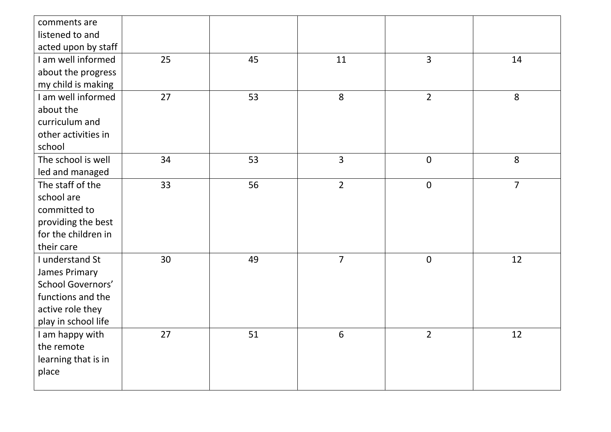| comments are<br>listened to and |    |    |                |                |                |
|---------------------------------|----|----|----------------|----------------|----------------|
| acted upon by staff             |    |    |                |                |                |
| I am well informed              | 25 | 45 | 11             | $\overline{3}$ | 14             |
| about the progress              |    |    |                |                |                |
| my child is making              |    |    |                |                |                |
| I am well informed              | 27 | 53 | 8              | $\overline{2}$ | 8              |
| about the                       |    |    |                |                |                |
| curriculum and                  |    |    |                |                |                |
| other activities in             |    |    |                |                |                |
| school                          |    |    |                |                |                |
| The school is well              | 34 | 53 | $\overline{3}$ | $\overline{0}$ | 8              |
| led and managed                 |    |    |                |                |                |
| The staff of the                | 33 | 56 | $\overline{2}$ | $\pmb{0}$      | $\overline{7}$ |
| school are                      |    |    |                |                |                |
| committed to                    |    |    |                |                |                |
| providing the best              |    |    |                |                |                |
| for the children in             |    |    |                |                |                |
| their care                      |    |    |                |                |                |
| I understand St                 | 30 | 49 | $\overline{7}$ | $\mathbf 0$    | 12             |
| James Primary                   |    |    |                |                |                |
| <b>School Governors'</b>        |    |    |                |                |                |
| functions and the               |    |    |                |                |                |
| active role they                |    |    |                |                |                |
| play in school life             |    |    |                | $\overline{2}$ |                |
| I am happy with<br>the remote   | 27 | 51 | $6\phantom{a}$ |                | 12             |
|                                 |    |    |                |                |                |
| learning that is in<br>place    |    |    |                |                |                |
|                                 |    |    |                |                |                |
|                                 |    |    |                |                |                |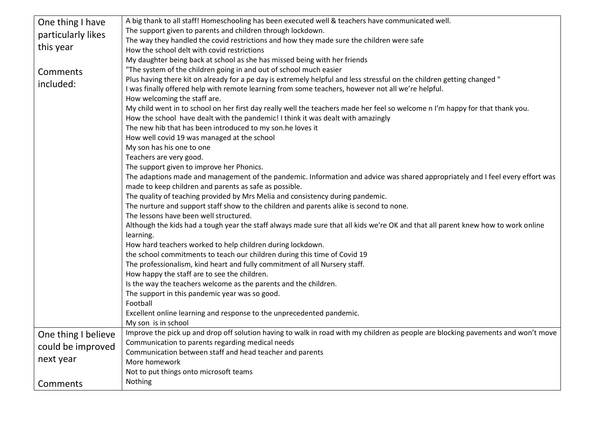| One thing I have    | A big thank to all staff! Homeschooling has been executed well & teachers have communicated well.                                 |
|---------------------|-----------------------------------------------------------------------------------------------------------------------------------|
| particularly likes  | The support given to parents and children through lockdown.                                                                       |
|                     | The way they handled the covid restrictions and how they made sure the children were safe                                         |
| this year           | How the school delt with covid restrictions                                                                                       |
|                     | My daughter being back at school as she has missed being with her friends                                                         |
| Comments            | "The system of the children going in and out of school much easier                                                                |
| included:           | Plus having there kit on already for a pe day is extremely helpful and less stressful on the children getting changed "           |
|                     | I was finally offered help with remote learning from some teachers, however not all we're helpful.                                |
|                     | How welcoming the staff are.                                                                                                      |
|                     | My child went in to school on her first day really well the teachers made her feel so welcome n I'm happy for that thank you.     |
|                     | How the school have dealt with the pandemic! I think it was dealt with amazingly                                                  |
|                     | The new hib that has been introduced to my son.he loves it                                                                        |
|                     | How well covid 19 was managed at the school                                                                                       |
|                     | My son has his one to one                                                                                                         |
|                     | Teachers are very good.                                                                                                           |
|                     | The support given to improve her Phonics.                                                                                         |
|                     | The adaptions made and management of the pandemic. Information and advice was shared appropriately and I feel every effort was    |
|                     | made to keep children and parents as safe as possible.                                                                            |
|                     | The quality of teaching provided by Mrs Melia and consistency during pandemic.                                                    |
|                     | The nurture and support staff show to the children and parents alike is second to none.                                           |
|                     | The lessons have been well structured.                                                                                            |
|                     | Although the kids had a tough year the staff always made sure that all kids we're OK and that all parent knew how to work online  |
|                     | learning.                                                                                                                         |
|                     | How hard teachers worked to help children during lockdown.                                                                        |
|                     | the school commitments to teach our children during this time of Covid 19                                                         |
|                     | The professionalism, kind heart and fully commitment of all Nursery staff.                                                        |
|                     | How happy the staff are to see the children.                                                                                      |
|                     | Is the way the teachers welcome as the parents and the children.                                                                  |
|                     | The support in this pandemic year was so good.                                                                                    |
|                     | Football                                                                                                                          |
|                     | Excellent online learning and response to the unprecedented pandemic.                                                             |
|                     | My son is in school                                                                                                               |
| One thing I believe | Improve the pick up and drop off solution having to walk in road with my children as people are blocking pavements and won't move |
| could be improved   | Communication to parents regarding medical needs                                                                                  |
|                     | Communication between staff and head teacher and parents                                                                          |
| next year           | More homework                                                                                                                     |
|                     | Not to put things onto microsoft teams                                                                                            |
| Comments            | Nothing                                                                                                                           |